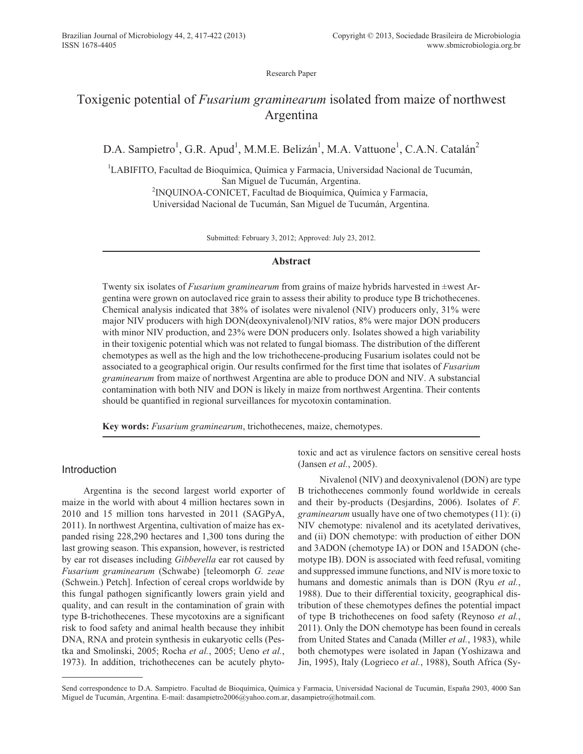Research Paper

# Toxigenic potential of *Fusarium graminearum* isolated from maize of northwest Argentina

D.A. Sampietro<sup>1</sup>, G.R. Apud<sup>1</sup>, M.M.E. Belizán<sup>1</sup>, M.A. Vattuone<sup>1</sup>, C.A.N. Catalán<sup>2</sup>

<sup>1</sup>LABIFITO, Facultad de Bioquímica, Química y Farmacia, Universidad Nacional de Tucumán, San Miguel de Tucumán, Argentina. <sup>2</sup>INQUINOA-CONICET, Facultad de Bioquímica, Química y Farmacia, Universidad Nacional de Tucumán, San Miguel de Tucumán, Argentina.

Submitted: February 3, 2012; Approved: July 23, 2012.

# **Abstract**

Twenty six isolates of *Fusarium graminearum* from grains of maize hybrids harvested in ±west Argentina were grown on autoclaved rice grain to assess their ability to produce type B trichothecenes. Chemical analysis indicated that 38% of isolates were nivalenol (NIV) producers only, 31% were major NIV producers with high DON(deoxynivalenol)/NIV ratios, 8% were major DON producers with minor NIV production, and 23% were DON producers only. Isolates showed a high variability in their toxigenic potential which was not related to fungal biomass. The distribution of the different chemotypes as well as the high and the low trichothecene-producing Fusarium isolates could not be associated to a geographical origin. Our results confirmed for the first time that isolates of *Fusarium graminearum* from maize of northwest Argentina are able to produce DON and NIV. A substancial contamination with both NIV and DON is likely in maize from northwest Argentina. Their contents should be quantified in regional surveillances for mycotoxin contamination.

**Key words:** *Fusarium graminearum*, trichothecenes, maize, chemotypes.

# Introduction

Argentina is the second largest world exporter of maize in the world with about 4 million hectares sown in 2010 and 15 million tons harvested in 2011 (SAGPyA, 2011). In northwest Argentina, cultivation of maize has expanded rising 228,290 hectares and 1,300 tons during the last growing season. This expansion, however, is restricted by ear rot diseases including *Gibberella* ear rot caused by *Fusarium graminearum* (Schwabe) [teleomorph *G. zeae* (Schwein.) Petch]. Infection of cereal crops worldwide by this fungal pathogen significantly lowers grain yield and quality, and can result in the contamination of grain with type B-trichothecenes. These mycotoxins are a significant risk to food safety and animal health because they inhibit DNA, RNA and protein synthesis in eukaryotic cells (Pestka and Smolinski, 2005; Rocha *et al.*, 2005; Ueno *et al.*, 1973). In addition, trichothecenes can be acutely phytotoxic and act as virulence factors on sensitive cereal hosts (Jansen *et al.*, 2005).

Nivalenol (NIV) and deoxynivalenol (DON) are type B trichothecenes commonly found worldwide in cereals and their by-products (Desjardins, 2006). Isolates of *F. graminearum* usually have one of two chemotypes (11): (i) NIV chemotype: nivalenol and its acetylated derivatives, and (ii) DON chemotype: with production of either DON and 3ADON (chemotype IA) or DON and 15ADON (chemotype IB). DON is associated with feed refusal, vomiting and suppressed immune functions, and NIV is more toxic to humans and domestic animals than is DON (Ryu *et al.*, 1988). Due to their differential toxicity, geographical distribution of these chemotypes defines the potential impact of type B trichothecenes on food safety (Reynoso *et al.*, 2011). Only the DON chemotype has been found in cereals from United States and Canada (Miller *et al.*, 1983), while both chemotypes were isolated in Japan (Yoshizawa and Jin, 1995), Italy (Logrieco *et al.*, 1988), South Africa (Sy-

Send correspondence to D.A. Sampietro. Facultad de Bioquímica, Química y Farmacia, Universidad Nacional de Tucumán, España 2903, 4000 San Miguel de Tucumán, Argentina. E-mail: dasampietro2006@yahoo.com.ar, dasampietro@hotmail.com.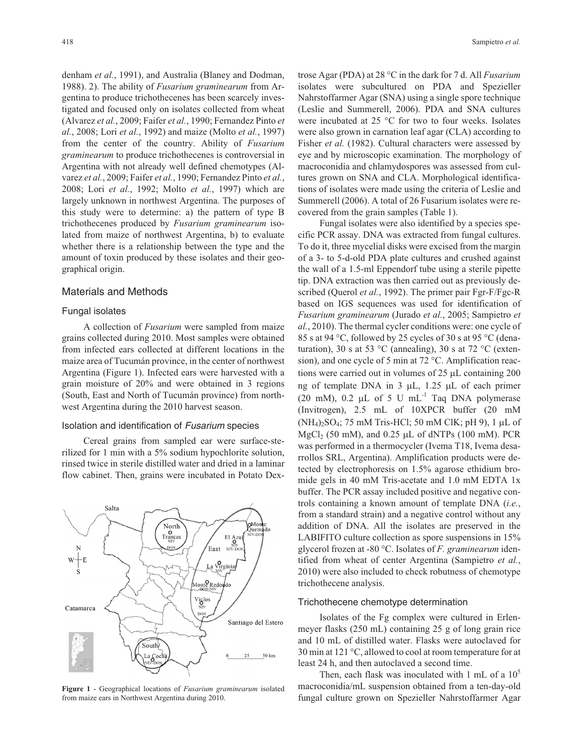denham *et al.*, 1991), and Australia (Blaney and Dodman, 1988). 2). The ability of *Fusarium graminearum* from Argentina to produce trichothecenes has been scarcely investigated and focused only on isolates collected from wheat (Alvarez *et al.*, 2009; Faifer *et al.*, 1990; Fernandez Pinto *et al.*, 2008; Lori *et al.*, 1992) and maize (Molto *et al.*, 1997) from the center of the country. Ability of *Fusarium graminearum* to produce trichothecenes is controversial in Argentina with not already well defined chemotypes (Alvarez *et al.*, 2009; Faifer *et al.*, 1990; Fernandez Pinto *et al.*, 2008; Lori *et al.*, 1992; Molto *et al.*, 1997) which are largely unknown in northwest Argentina. The purposes of this study were to determine: a) the pattern of type B trichothecenes produced by *Fusarium graminearum* isolated from maize of northwest Argentina, b) to evaluate whether there is a relationship between the type and the amount of toxin produced by these isolates and their geographical origin.

#### Materials and Methods

#### Fungal isolates

A collection of *Fusarium* were sampled from maize grains collected during 2010. Most samples were obtained from infected ears collected at different locations in the maize area of Tucumán province, in the center of northwest Argentina (Figure 1). Infected ears were harvested with a grain moisture of 20% and were obtained in 3 regions (South, East and North of Tucumán province) from northwest Argentina during the 2010 harvest season.

#### Isolation and identification of Fusarium species

Cereal grains from sampled ear were surface-sterilized for 1 min with a 5% sodium hypochlorite solution, rinsed twice in sterile distilled water and dried in a laminar flow cabinet. Then, grains were incubated in Potato Dex-



**Figure 1** - Geographical locations of *Fusarium graminearum* isolated from maize ears in Northwest Argentina during 2010.

trose Agar (PDA) at 28 °C in the dark for 7 d. All *Fusarium* isolates were subcultured on PDA and Spezieller Nahrstoffarmer Agar (SNA) using a single spore technique (Leslie and Summerell, 2006). PDA and SNA cultures were incubated at 25 °C for two to four weeks. Isolates were also grown in carnation leaf agar (CLA) according to Fisher *et al.* (1982). Cultural characters were assessed by eye and by microscopic examination. The morphology of macroconidia and chlamydospores was assessed from cultures grown on SNA and CLA. Morphological identifications of isolates were made using the criteria of Leslie and Summerell (2006). A total of 26 Fusarium isolates were recovered from the grain samples (Table 1).

Fungal isolates were also identified by a species specific PCR assay. DNA was extracted from fungal cultures. To do it, three mycelial disks were excised from the margin of a 3- to 5-d-old PDA plate cultures and crushed against the wall of a 1.5-ml Eppendorf tube using a sterile pipette tip. DNA extraction was then carried out as previously described (Querol *et al.*, 1992). The primer pair Fgr-F/Fgc-R based on IGS sequences was used for identification of *Fusarium graminearum* (Jurado *et al.*, 2005; Sampietro *et al.*, 2010). The thermal cycler conditions were: one cycle of 85 s at 94 °C, followed by 25 cycles of 30 s at 95 °C (denaturation), 30 s at 53 °C (annealing), 30 s at 72 °C (extension), and one cycle of 5 min at 72 °C. Amplification reactions were carried out in volumes of  $25 \mu L$  containing  $200$ ng of template DNA in  $3 \mu L$ , 1.25  $\mu L$  of each primer (20 mM), 0.2  $\mu$ L of 5 U mL<sup>-1</sup> Taq DNA polymerase (Invitrogen), 2.5 mL of 10XPCR buffer (20 mM  $(NH_4)_2SO_4$ ; 75 mM Tris-HCl; 50 mM ClK; pH 9), 1 µL of  $MgCl<sub>2</sub>$  (50 mM), and 0.25  $\mu$ L of dNTPs (100 mM). PCR was performed in a thermocycler (Ivema T18, Ivema desarrollos SRL, Argentina). Amplification products were detected by electrophoresis on 1.5% agarose ethidium bromide gels in 40 mM Tris-acetate and 1.0 mM EDTA 1x buffer. The PCR assay included positive and negative controls containing a known amount of template DNA (*i.e.*, from a standard strain) and a negative control without any addition of DNA. All the isolates are preserved in the LABIFITO culture collection as spore suspensions in 15% glycerol frozen at -80 °C. Isolates of *F. graminearum* identified from wheat of center Argentina (Sampietro *et al.*, 2010) were also included to check robutness of chemotype trichothecene analysis.

#### Trichothecene chemotype determination

Isolates of the Fg complex were cultured in Erlenmeyer flasks (250 mL) containing 25 g of long grain rice and 10 mL of distilled water. Flasks were autoclaved for 30 min at 121 °C, allowed to cool at room temperature for at least 24 h, and then autoclaved a second time.

Then, each flask was inoculated with 1 mL of a  $10<sup>5</sup>$ macroconidia/mL suspension obtained from a ten-day-old fungal culture grown on Spezieller Nahrstoffarmer Agar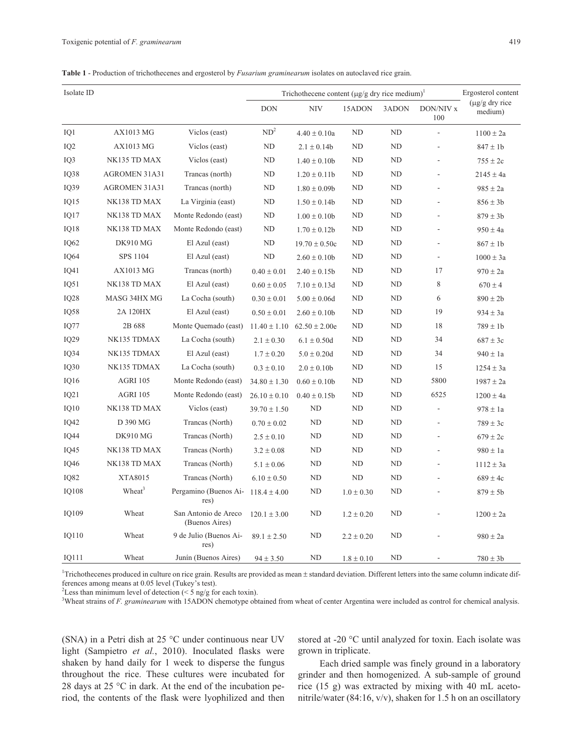|  |  |  | Table 1 - Production of trichothecenes and ergosterol by <i>Fusarium graminearum</i> isolates on autoclaved rice grain. |  |  |  |  |  |  |  |  |  |
|--|--|--|-------------------------------------------------------------------------------------------------------------------------|--|--|--|--|--|--|--|--|--|
|--|--|--|-------------------------------------------------------------------------------------------------------------------------|--|--|--|--|--|--|--|--|--|

| Isolate ID       |                      |                                        | Trichothecene content $(\mu g/g \, dry \, rice \, medium)^1$ | Ergosterol content |                |       |                  |                                 |
|------------------|----------------------|----------------------------------------|--------------------------------------------------------------|--------------------|----------------|-------|------------------|---------------------------------|
|                  |                      |                                        | <b>DON</b>                                                   | <b>NIV</b>         | 15ADON         | 3ADON | DON/NIV x<br>100 | $(\mu g/g)$ dry rice<br>medium) |
| IQ1              | AX1013 MG            | Viclos (east)                          | ND <sup>2</sup>                                              | $4.40 \pm 0.10a$   | ND             | ND    | $\frac{1}{2}$    | $1100 \pm 2a$                   |
| IQ <sub>2</sub>  | AX1013 MG            | Viclos (east)                          | ND                                                           | $2.1 \pm 0.14b$    | ND             | ND    | L,               | $847 \pm 1b$                    |
| IQ3              | NK135 TD MAX         | Viclos (east)                          | <b>ND</b>                                                    | $1.40 \pm 0.10b$   | ND             | ND    | L,               | $755 \pm 2c$                    |
| IQ38             | AGROMEN 31A31        | Trancas (north)                        | ND                                                           | $1.20 \pm 0.11b$   | ND             | ND    | L,               | $2145 \pm 4a$                   |
| IQ39             | <b>AGROMEN 31A31</b> | Trancas (north)                        | <b>ND</b>                                                    | $1.80 \pm 0.09$    | ND             | ND    | L,               | $985 \pm 2a$                    |
| IO15             | NK138 TD MAX         | La Virginia (east)                     | ND                                                           | $1.50 \pm 0.14b$   | ND             | ND    | L,               | $856 \pm 3b$                    |
| IQ17             | NK138 TD MAX         | Monte Redondo (east)                   | ND                                                           | $1.00 \pm 0.10b$   | ND             | ND    | L,               | $879 \pm 3b$                    |
| IQ18             | NK138 TD MAX         | Monte Redondo (east)                   | ND                                                           | $1.70 \pm 0.12b$   | ND             | ND    |                  | $950 \pm 4a$                    |
| IQ62             | <b>DK910 MG</b>      | El Azul (east)                         | ND                                                           | $19.70 \pm 0.50c$  | ND             | ND    | L,               | $867 \pm 1b$                    |
| IQ64             | SPS 1104             | El Azul (east)                         | <b>ND</b>                                                    | $2.60 \pm 0.10b$   | ND             | ND    | L,               | $1000\pm3\text{a}$              |
| IQ41             | <b>AX1013 MG</b>     | Trancas (north)                        | $0.40 \pm 0.01$                                              | $2.40 \pm 0.15b$   | ND             | ND    | 17               | $970 \pm 2a$                    |
| IO51             | NK138 TD MAX         | El Azul (east)                         | $0.60 \pm 0.05$                                              | $7.10 \pm 0.13d$   | ND             | ND    | 8                | $670 \pm 4$                     |
| IQ28             | MASG 34HX MG         | La Cocha (south)                       | $0.30 \pm 0.01$                                              | $5.00 \pm 0.06d$   | ND             | ND    | 6                | $890 \pm 2b$                    |
| IQ58             | 2A 120HX             | El Azul (east)                         | $0.50 \pm 0.01$                                              | $2.60 \pm 0.10b$   | ND             | ND    | 19               | $934 \pm 3a$                    |
| IQ77             | 2B 688               | Monte Quemado (east)                   | $11.40 \pm 1.10$                                             | $62.50 \pm 2.00e$  | ND             | ND    | 18               | $789 \pm 1$ b                   |
| IQ29             | NK135 TDMAX          | La Cocha (south)                       | $2.1 \pm 0.30$                                               | $6.1 \pm 0.50d$    | ND             | ND    | 34               | $687 \pm 3c$                    |
| IO <sub>34</sub> | NK135 TDMAX          | El Azul (east)                         | $1.7 \pm 0.20$                                               | $5.0 \pm 0.20d$    | ND             | ND    | 34               | $940 \pm 1a$                    |
| IQ30             | NK135 TDMAX          | La Cocha (south)                       | $0.3 \pm 0.10$                                               | $2.0 \pm 0.10b$    | ND             | ND    | 15               | $1254\pm3\mathrm{a}$            |
| IO16             | <b>AGRI 105</b>      | Monte Redondo (east)                   | $34.80 \pm 1.30$                                             | $0.60 \pm 0.10b$   | ND             | ND    | 5800             | $1987 \pm 2a$                   |
| IQ21             | <b>AGRI 105</b>      | Monte Redondo (east)                   | $26.10 \pm 0.10$                                             | $0.40 \pm 0.15b$   | ND             | ND    | 6525             | $1200 \pm 4a$                   |
| IO10             | NK138 TD MAX         | Viclos (east)                          | $39.70 \pm 1.50$                                             | <b>ND</b>          | ND             | ND    |                  | $978 \pm 1a$                    |
| IQ42             | D 390 MG             | Trancas (North)                        | $0.70 \pm 0.02$                                              | <b>ND</b>          | ND             | ND    | ä,               | $789 \pm 3c$                    |
| IQ44             | <b>DK910 MG</b>      | Trancas (North)                        | $2.5 \pm 0.10$                                               | ND                 | ND             | ND    | L,               | $679 \pm 2c$                    |
| IO45             | NK138 TD MAX         | Trancas (North)                        | $3.2 \pm 0.08$                                               | ND                 | ND             | ND    |                  | $980 \pm 1a$                    |
| IQ46             | NK138 TD MAX         | Trancas (North)                        | $5.1 \pm 0.06$                                               | ND                 | ND             | ND    | $\overline{a}$   | $1112 \pm 3a$                   |
| <b>IQ82</b>      | XTA8015              | Trancas (North)                        | $6.10 \pm 0.50$                                              | <b>ND</b>          | ND             | ND    | L,               | $689 \pm 4c$                    |
| <b>IQ108</b>     | Wheat <sup>3</sup>   | Pergamino (Buenos Ai-<br>res)          | $118.4 \pm 4.00$                                             | ND                 | $1.0 \pm 0.30$ | ND    | L,               | $879 \pm 5b$                    |
| IQ109            | Wheat                | San Antonio de Areco<br>(Buenos Aires) | $120.1 \pm 3.00$                                             | <b>ND</b>          | $1.2 \pm 0.20$ | ND    |                  | $1200 \pm 2a$                   |
| IQ110            | Wheat                | 9 de Julio (Buenos Ai-<br>res)         | $89.1 \pm 2.50$                                              | ND                 | $2.2 \pm 0.20$ | ND    |                  | $980 \pm 2a$                    |
| IQ111            | Wheat                | Junín (Buenos Aires)                   | $94 \pm 3.50$                                                | ND                 | $1.8 \pm 0.10$ | ND    | L,               | $780 \pm 3b$                    |

<sup>1</sup>Trichothecenes produced in culture on rice grain. Results are provided as mean ± standard deviation. Different letters into the same column indicate differences among means at 0.05 level (Tukey's test).

<sup>2</sup> Less than minimum level of detection (< 5 ng/g for each toxin).

<sup>3</sup>Wheat strains of *F. graminearum* with 15ADON chemotype obtained from wheat of center Argentina were included as control for chemical analysis.

(SNA) in a Petri dish at 25 °C under continuous near UV light (Sampietro *et al.*, 2010). Inoculated flasks were shaken by hand daily for 1 week to disperse the fungus throughout the rice. These cultures were incubated for 28 days at 25 °C in dark. At the end of the incubation period, the contents of the flask were lyophilized and then stored at -20 °C until analyzed for toxin. Each isolate was grown in triplicate.

Each dried sample was finely ground in a laboratory grinder and then homogenized. A sub-sample of ground rice (15 g) was extracted by mixing with 40 mL acetonitrile/water (84:16, v/v), shaken for 1.5 h on an oscillatory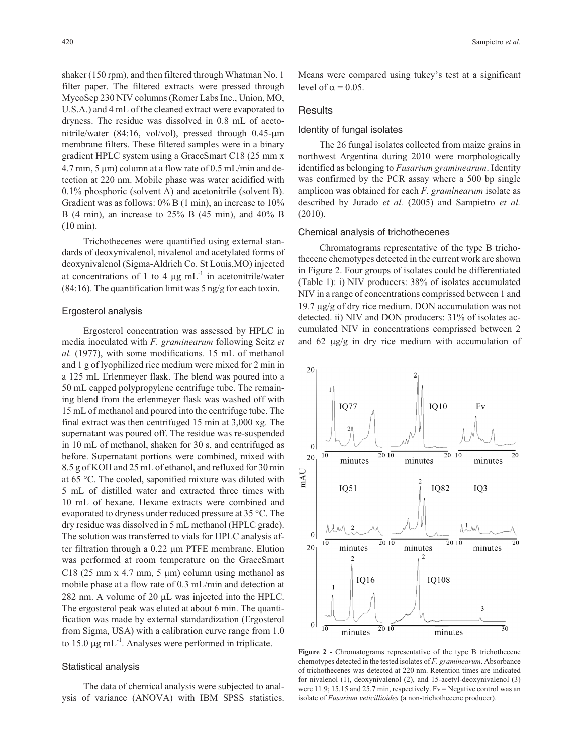shaker (150 rpm), and then filtered through Whatman No. 1 filter paper. The filtered extracts were pressed through MycoSep 230 NIV columns (Romer Labs Inc., Union, MO, U.S.A.) and 4 mL of the cleaned extract were evaporated to dryness. The residue was dissolved in 0.8 mL of acetonitrile/water (84:16, vol/vol), pressed through 0.45-µm membrane filters. These filtered samples were in a binary gradient HPLC system using a GraceSmart C18 (25 mm x  $4.7$  mm,  $5 \mu$ m) column at a flow rate of 0.5 mL/min and detection at 220 nm. Mobile phase was water acidified with 0.1% phosphoric (solvent A) and acetonitrile (solvent B). Gradient was as follows:  $0\%$  B (1 min), an increase to  $10\%$ B (4 min), an increase to 25% B (45 min), and 40% B (10 min).

Trichothecenes were quantified using external standards of deoxynivalenol, nivalenol and acetylated forms of deoxynivalenol (Sigma-Aldrich Co. St Louis,MO) injected at concentrations of 1 to 4  $\mu$ g mL<sup>-1</sup> in acetonitrile/water  $(84:16)$ . The quantification limit was 5 ng/g for each toxin.

#### Ergosterol analysis

Ergosterol concentration was assessed by HPLC in media inoculated with *F. graminearum* following Seitz *et al.* (1977), with some modifications. 15 mL of methanol and 1 g of lyophilized rice medium were mixed for 2 min in a 125 mL Erlenmeyer flask. The blend was poured into a 50 mL capped polypropylene centrifuge tube. The remaining blend from the erlenmeyer flask was washed off with 15 mL of methanol and poured into the centrifuge tube. The final extract was then centrifuged 15 min at 3,000 xg. The supernatant was poured off. The residue was re-suspended in 10 mL of methanol, shaken for 30 s, and centrifuged as before. Supernatant portions were combined, mixed with 8.5 g of KOH and 25 mL of ethanol, and refluxed for 30 min at 65 °C. The cooled, saponified mixture was diluted with 5 mL of distilled water and extracted three times with 10 mL of hexane. Hexane extracts were combined and evaporated to dryness under reduced pressure at 35 °C. The dry residue was dissolved in 5 mL methanol (HPLC grade). The solution was transferred to vials for HPLC analysis after filtration through a 0.22 µm PTFE membrane. Elution was performed at room temperature on the GraceSmart C18 (25 mm x 4.7 mm, 5  $\mu$ m) column using methanol as mobile phase at a flow rate of 0.3 mL/min and detection at 282 nm. A volume of 20  $\mu$ L was injected into the HPLC. The ergosterol peak was eluted at about 6 min. The quantification was made by external standardization (Ergosterol from Sigma, USA) with a calibration curve range from 1.0 to 15.0  $\mu$ g mL<sup>-1</sup>. Analyses were performed in triplicate.

## Statistical analysis

The data of chemical analysis were subjected to analysis of variance (ANOVA) with IBM SPSS statistics.

Means were compared using tukey's test at a significant level of  $\alpha$  = 0.05.

# **Results**

# Identity of fungal isolates

The 26 fungal isolates collected from maize grains in northwest Argentina during 2010 were morphologically identified as belonging to *Fusarium graminearum*. Identity was confirmed by the PCR assay where a 500 bp single amplicon was obtained for each *F. graminearum* isolate as described by Jurado *et al.* (2005) and Sampietro *et al.* (2010).

#### Chemical analysis of trichothecenes

Chromatograms representative of the type B trichothecene chemotypes detected in the current work are shown in Figure 2. Four groups of isolates could be differentiated (Table 1): i) NIV producers: 38% of isolates accumulated NIV in a range of concentrations comprissed between 1 and 19.7  $\mu$ g/g of dry rice medium. DON accumulation was not detected. ii) NIV and DON producers: 31% of isolates accumulated NIV in concentrations comprissed between 2 and  $62 \mu g/g$  in dry rice medium with accumulation of



**Figure 2** - Chromatograms representative of the type B trichothecene chemotypes detected in the tested isolates of *F. graminearum*. Absorbance of trichothecenes was detected at 220 nm. Retention times are indicated for nivalenol (1), deoxynivalenol (2), and 15-acetyl-deoxynivalenol (3) were 11.9; 15.15 and 25.7 min, respectively. Fv = Negative control was an isolate of *Fusarium veticillioides* (a non-trichothecene producer).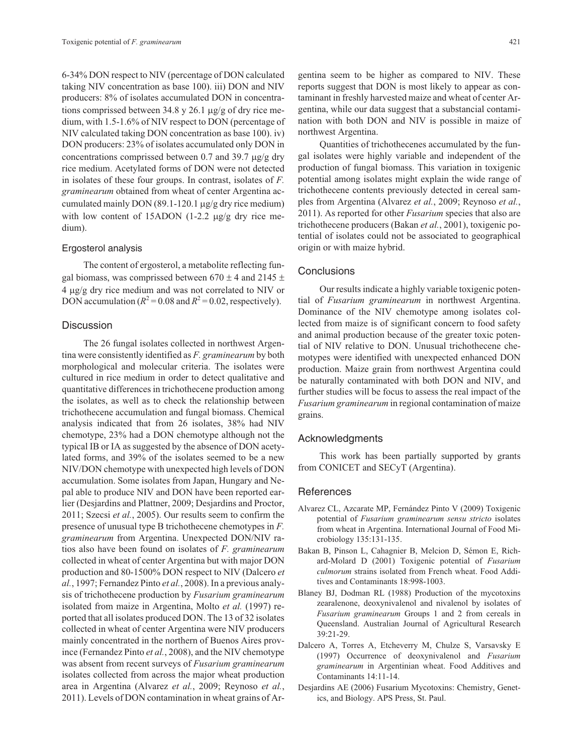6-34% DON respect to NIV (percentage of DON calculated taking NIV concentration as base 100). iii) DON and NIV producers: 8% of isolates accumulated DON in concentrations comprissed between 34.8 y 26.1  $\mu$ g/g of dry rice medium, with 1.5-1.6% of NIV respect to DON (percentage of NIV calculated taking DON concentration as base 100). iv) DON producers: 23% of isolates accumulated only DON in concentrations comprissed between 0.7 and 39.7  $\mu$ g/g dry rice medium. Acetylated forms of DON were not detected in isolates of these four groups. In contrast, isolates of *F. graminearum* obtained from wheat of center Argentina accumulated mainly DON  $(89.1-120.1 \,\mu g/g)$  dry rice medium) with low content of  $15$ ADON  $(1-2.2 \mu g/g)$  dry rice medium).

#### Ergosterol analysis

The content of ergosterol, a metabolite reflecting fungal biomass, was comprissed between  $670 \pm 4$  and  $2145 \pm 4$ 4 µg/g dry rice medium and was not correlated to NIV or DON accumulation ( $R^2$  = 0.08 and  $R^2$  = 0.02, respectively).

#### **Discussion**

The 26 fungal isolates collected in northwest Argentina were consistently identified as *F. graminearum* by both morphological and molecular criteria. The isolates were cultured in rice medium in order to detect qualitative and quantitative differences in trichothecene production among the isolates, as well as to check the relationship between trichothecene accumulation and fungal biomass. Chemical analysis indicated that from 26 isolates, 38% had NIV chemotype, 23% had a DON chemotype although not the typical IB or IA as suggested by the absence of DON acetylated forms, and 39% of the isolates seemed to be a new NIV/DON chemotype with unexpected high levels of DON accumulation. Some isolates from Japan, Hungary and Nepal able to produce NIV and DON have been reported earlier (Desjardins and Plattner, 2009; Desjardins and Proctor, 2011; Szecsi *et al.*, 2005). Our results seem to confirm the presence of unusual type B trichothecene chemotypes in *F. graminearum* from Argentina. Unexpected DON/NIV ratios also have been found on isolates of *F. graminearum* collected in wheat of center Argentina but with major DON production and 80-1500% DON respect to NIV (Dalcero *et al.*, 1997; Fernandez Pinto *et al.*, 2008). In a previous analysis of trichothecene production by *Fusarium graminearum* isolated from maize in Argentina, Molto *et al.* (1997) reported that all isolates produced DON. The 13 of 32 isolates collected in wheat of center Argentina were NIV producers mainly concentrated in the northern of Buenos Aires province (Fernandez Pinto *et al.*, 2008), and the NIV chemotype was absent from recent surveys of *Fusarium graminearum* isolates collected from across the major wheat production area in Argentina (Alvarez *et al.*, 2009; Reynoso *et al.*, 2011). Levels of DON contamination in wheat grains of Argentina seem to be higher as compared to NIV. These reports suggest that DON is most likely to appear as contaminant in freshly harvested maize and wheat of center Argentina, while our data suggest that a substancial contamination with both DON and NIV is possible in maize of northwest Argentina.

Quantities of trichothecenes accumulated by the fungal isolates were highly variable and independent of the production of fungal biomass. This variation in toxigenic potential among isolates might explain the wide range of trichothecene contents previously detected in cereal samples from Argentina (Alvarez *et al.*, 2009; Reynoso *et al.*, 2011). As reported for other *Fusarium* species that also are trichothecene producers (Bakan *et al.*, 2001), toxigenic potential of isolates could not be associated to geographical origin or with maize hybrid.

# **Conclusions**

Our results indicate a highly variable toxigenic potential of *Fusarium graminearum* in northwest Argentina. Dominance of the NIV chemotype among isolates collected from maize is of significant concern to food safety and animal production because of the greater toxic potential of NIV relative to DON. Unusual trichothecene chemotypes were identified with unexpected enhanced DON production. Maize grain from northwest Argentina could be naturally contaminated with both DON and NIV, and further studies will be focus to assess the real impact of the *Fusarium graminearum* in regional contamination of maize grains.

# Acknowledgments

This work has been partially supported by grants from CONICET and SECyT (Argentina).

## References

- Alvarez CL, Azcarate MP, Fernández Pinto V (2009) Toxigenic potential of *Fusarium graminearum sensu stricto* isolates from wheat in Argentina. International Journal of Food Microbiology 135:131-135.
- Bakan B, Pinson L, Cahagnier B, Melcion D, Sémon E, Richard-Molard D (2001) Toxigenic potential of *Fusarium culmorum* strains isolated from French wheat. Food Additives and Contaminants 18:998-1003.
- Blaney BJ, Dodman RL (1988) Production of the mycotoxins zearalenone, deoxynivalenol and nivalenol by isolates of *Fusarium graminearum* Groups 1 and 2 from cereals in Queensland. Australian Journal of Agricultural Research 39:21-29.
- Dalcero A, Torres A, Etcheverry M, Chulze S, Varsavsky E (1997) Occurrence of deoxynivalenol and *Fusarium graminearum* in Argentinian wheat. Food Additives and Contaminants 14:11-14.
- Desjardins AE (2006) Fusarium Mycotoxins: Chemistry, Genetics, and Biology. APS Press, St. Paul.